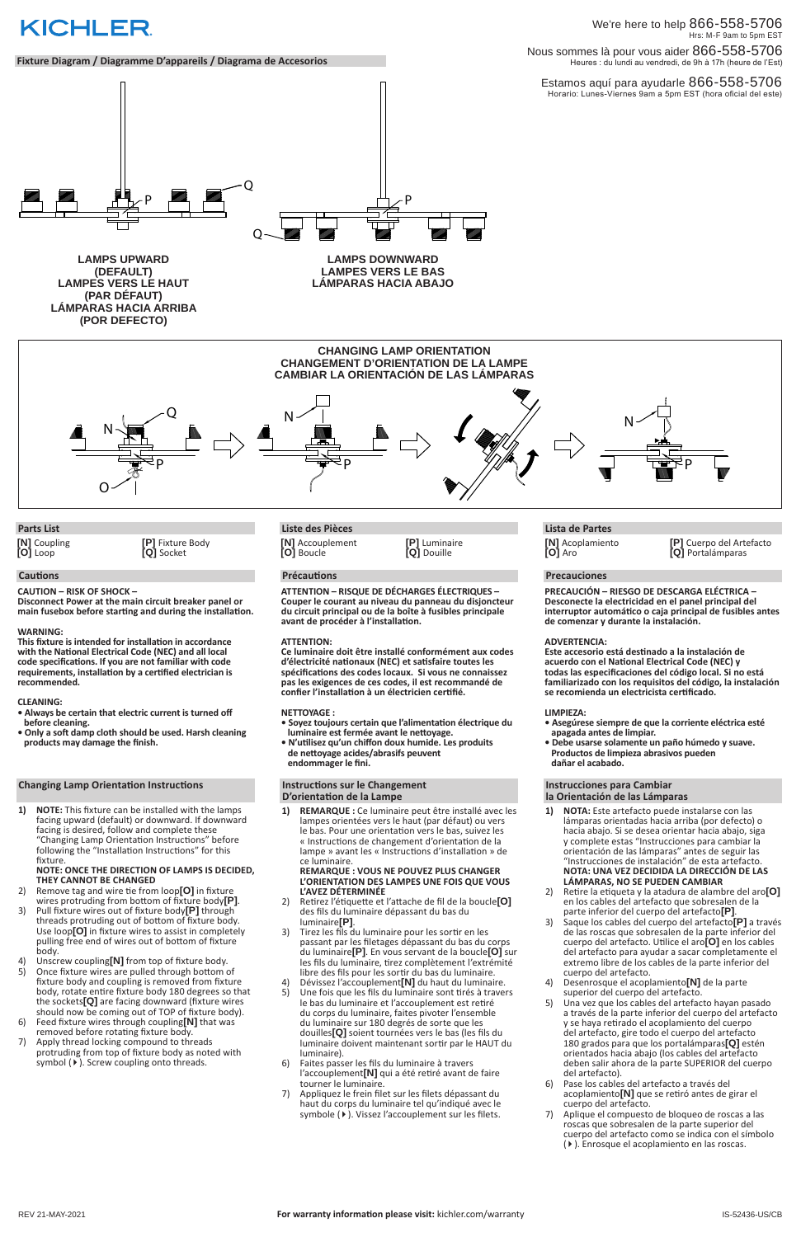Estamos aquí para ayudarle 866-558-5706 Horario: Lunes-Viernes 9am a 5pm EST (hora oficial del este)

We're here to help 866-558-5706 Hrs: M-F 9am to 5pm EST Nous sommes là pour vous aider 866-558-5706 Heures : du lundi au vendredi, de 9h à 17h (heure de l'Est)

# **KICHLER**

**Fixture Diagram / Diagramme D'appareils / Diagrama de Accesorios**

**LÁMPARAS HACIA ABAJO**



**LAMPES VERS LE HAUT (PAR DÉFAUT) LÁMPARAS HACIA ARRIBA (POR DEFECTO)**

> **CHANGING LAMP ORIENTATION CHANGEMENT D'ORIENTATION DE LA LAMPE CAMBIAR LA ORIENTACIÓN DE LAS LÁMPARAS**



#### **Cautions**

**CAUTION – RISK OF SHOCK –** 

**Disconnect Power at the main circuit breaker panel or main fusebox before starting and during the installation.** 

#### **WARNING:**

**This fixture is intended for installation in accordance with the National Electrical Code (NEC) and all local code specifications. If you are not familiar with code requirements, installation by a certified electrician is recommended.**

# **CLEANING:**

- **Always be certain that electric current is turned off before cleaning.**
- **Only a soft damp cloth should be used. Harsh cleaning products may damage the finish.**

# **Changing Lamp Orientation Instructions**

**1) NOTE:** This fixture can be installed with the lamps facing upward (default) or downward. If downward facing is desired, follow and complete these "Changing Lamp Orientation Instructions" before following the "Installation Instructions" for this fixture.

# **NOTE: ONCE THE DIRECTION OF LAMPS IS DECIDED, THEY CANNOT BE CHANGED**

2) Remove tag and wire tie from loop**[O]** in fixture wires protruding from bottom of fixture body**[P]**. 3) Pull fixture wires out of fixture body**[P]** through threads protruding out of bottom of fixture body. Use loop**[O]** in fixture wires to assist in completely pulling free end of wires out of bottom of fixture body.

2) Retirez l'étiquette et l'attache de fil de la boucle**[O]** des fils du luminaire dépassant du bas du luminaire**[P]**. 3) Tirez les fils du luminaire pour les sortir en les passant par les filetages dépassant du bas du corps du luminaire**[P]**. En vous servant de la boucle**[O]** sur les fils du luminaire, tirez complètement l'extrémité libre des fils pour les sortir du bas du luminaire. 4) Dévissez l'accouplement**[N]** du haut du luminaire. 5) Une fois que les fils du luminaire sont tirés à travers le bas du luminaire et l'accouplement est retiré du corps du luminaire, faites pivoter l'ensemble du luminaire sur 180 degrés de sorte que les douilles**[Q]** soient tournées vers le bas (les fils du luminaire doivent maintenant sortir par le HAUT du luminaire). 6) Faites passer les fils du luminaire à travers l'accouplement**[N]** qui a été retiré avant de faire tourner le luminaire. 7) Appliquez le frein filet sur les filets dépassant du haut du corps du luminaire tel qu'indiqué avec le symbole ( $\blacktriangleright$ ). Vissez l'accouplement sur les filets.

# **Parts List**

**[N]** Coupling **[O]** Loop

**[P]** Fixture Body **[Q]** Socket

# **Précautions**

**ATTENTION – RISQUE DE DÉCHARGES ÉLECTRIQUES – Couper le courant au niveau du panneau du disjoncteur du circuit principal ou de la boîte à fusibles principale avant de procéder à l'installation.**

#### **ATTENTION:**

**Ce luminaire doit être installé conformément aux codes d'électricité nationaux (NEC) et satisfaire toutes les spécifications des codes locaux. Si vous ne connaissez pas les exigences de ces codes, il est recommandé de confier l'installation à un électricien certifié.**

# **NETTOYAGE :**

- **Soyez toujours certain que l'alimentation électrique du luminaire est fermée avant le nettoyage.**
- **N'utilisez qu'un chiffon doux humide. Les produits de nettoyage acides/abrasifs peuvent endommager le fini.**

**1) REMARQUE :** Ce luminaire peut être installé avec les lampes orientées vers le haut (par défaut) ou vers le bas. Pour une orientation vers le bas, suivez les « Instructions de changement d'orientation de la lampe » avant les « Instructions d'installation » de ce luminaire.

#### **REMARQUE : VOUS NE POUVEZ PLUS CHANGER L'ORIENTATION DES LAMPES UNE FOIS QUE VOUS L'AVEZ DÉTERMINÉE**

# **Liste des Pièces**

# **Precauciones**

**PRECAUCIÓN – RIESGO DE DESCARGA ELÉCTRICA – Desconecte la electricidad en el panel principal del interruptor automático o caja principal de fusibles antes de comenzar y durante la instalación.** 

# **ADVERTENCIA:**

**Este accesorio está destinado a la instalación de acuerdo con el National Electrical Code (NEC) y todas las especificaciones del código local. Si no está familiarizado con los requisitos del código, la instalación se recomienda un electricista certificado.**

# **Instructions sur le Changement D'orientation de la Lampe la Orientación de las Lámparas**

#### **LIMPIEZA:**

- **Asegúrese siempre de que la corriente eléctrica esté apagada antes de limpiar.**
- **Debe usarse solamente un paño húmedo y suave. Productos de limpieza abrasivos pueden dañar el acabado.**

# **Instrucciones para Cambiar**

- **1) NOTA:** Este artefacto puede instalarse con las lámparas orientadas hacia arriba (por defecto) o hacia abajo. Si se desea orientar hacia abajo, siga y complete estas "Instrucciones para cambiar la orientación de las lámparas" antes de seguir las "Instrucciones de instalación" de esta artefacto. **NOTA: UNA VEZ DECIDIDA LA DIRECCIÓN DE LAS LÁMPARAS, NO SE PUEDEN CAMBIAR**
- 2) Retire la etiqueta y la atadura de alambre del aro**[O]** en los cables del artefacto que sobresalen de la

- 4) Unscrew coupling<sup>[N]</sup> from top of fixture body.<br>5) Once fixture wires are pulled through bottom o
- 5) Once fixture wires are pulled through bottom of fixture body and coupling is removed from fixture body, rotate entire fixture body 180 degrees so that the sockets**[Q]** are facing downward (fixture wires should now be coming out of TOP of fixture body).
- 6) Feed fixture wires through coupling**[N]** that was removed before rotating fixture body.
- 7) Apply thread locking compound to threads protruding from top of fixture body as noted with symbol  $(*)$ . Screw coupling onto threads.
- parte inferior del cuerpo del artefacto**[P]**.
- 3) Saque los cables del cuerpo del artefacto**[P]** a través de las roscas que sobresalen de la parte inferior del cuerpo del artefacto. Utilice el aro**[O]** en los cables del artefacto para ayudar a sacar completamente el extremo libre de los cables de la parte inferior del cuerpo del artefacto.
- 4) Desenrosque el acoplamiento**[N]** de la parte superior del cuerpo del artefacto.
- 5) Una vez que los cables del artefacto hayan pasado a través de la parte inferior del cuerpo del artefacto y se haya retirado el acoplamiento del cuerpo del artefacto, gire todo el cuerpo del artefacto 180 grados para que los portalámparas**[Q]** estén orientados hacia abajo (los cables del artefacto deben salir ahora de la parte SUPERIOR del cuerpo del artefacto).
- 6) Pase los cables del artefacto a través del acoplamiento**[N]** que se retiró antes de girar el cuerpo del artefacto.
- 7) Aplique el compuesto de bloqueo de roscas a las roscas que sobresalen de la parte superior del cuerpo del artefacto como se indica con el símbolo (4). Enrosque el acoplamiento en las roscas.

# **Lista de Partes**

**[N]** Accouplement **[O]** Boucle

**[P]** Luminaire **[Q]** Douille

**[N]** Acoplamiento **[O]** Aro

# **[P]** Cuerpo del Artefacto **[Q]** Portalámparas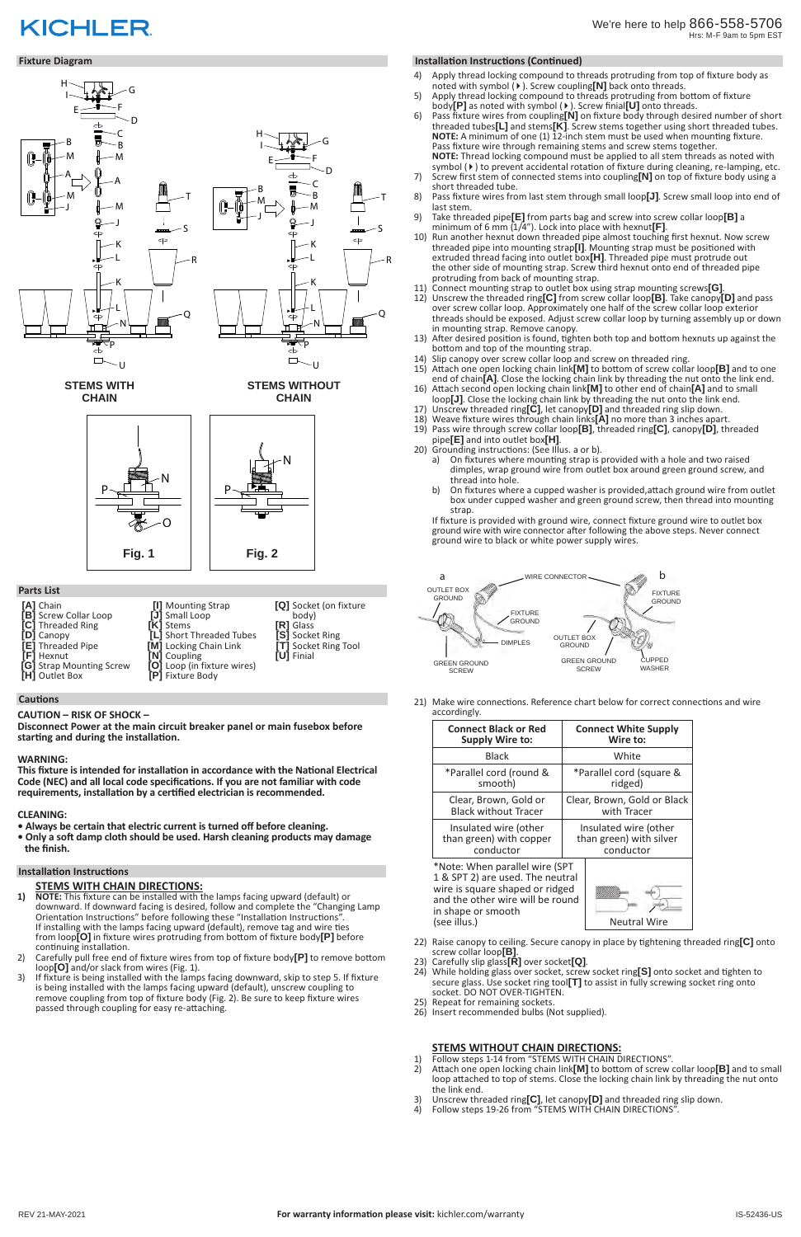# We're here to help 866-558-5706 Hrs: M-F 9am to 5pm EST

# **Fixture Diagram Installation Instructions (Continued)**

# **STEMS WITH CHAIN DIRECTIONS:**

**1) NOTE:** This fixture can be installed with the lamps facing upward (default) or downward. If downward facing is desired, follow and complete the "Changing Lamp Orientation Instructions" before following these "Installation Instructions". If installing with the lamps facing upward (default), remove tag and wire ties from loop**[O]** in fixture wires protruding from bottom of fixture body**[P]** before continuing installation. 2) Carefully pull free end of fixture wires from top of fixture body**[P]** to remove bottom loop**[O]** and/or slack from wires (Fig. 1). 3) If fixture is being installed with the lamps facing downward, skip to step 5. If fixture is being installed with the lamps facing upward (default), unscrew coupling to remove coupling from top of fixture body (Fig. 2). Be sure to keep fixture wires passed through coupling for easy re-attaching.

- 1) Follow steps 1-14 from "STEMS WITH CHAIN DIRECTIONS".
- 2) Attach one open locking chain link**[M]** to bottom of screw collar loop**[B]** and to small loop attached to top of stems. Close the locking chain link by threading the nut onto the link end.
- 3) Unscrew threaded ring**[C]**, let canopy**[D]** and threaded ring slip down.
- Follow steps 19-26 from "STEMS WITH CHAIN DIRECTIONS"

#### **Cautions**

# **CAUTION – RISK OF SHOCK –**

**Disconnect Power at the main circuit breaker panel or main fusebox before starting and during the installation.** 

# **WARNING:**

**This fixture is intended for installation in accordance with the National Electrical Code (NEC) and all local code specifications. If you are not familiar with code requirements, installation by a certified electrician is recommended.**

# **CLEANING:**

- **Always be certain that electric current is turned off before cleaning.**
- **Only a soft damp cloth should be used. Harsh cleaning products may damage the finish.**

| [A] Chain                | [I] Mounting Strap          | [Q] Socket (on fixture     |
|--------------------------|-----------------------------|----------------------------|
| [B] Screw Collar Loop    | [J] Small Loop              | body)                      |
| [C] Threaded Ring        | <b>[K]</b> Stems            | <b>IRI</b> Glass           |
| [D] Canopy               | [L] Short Threaded Tubes    | [S] Socket Ring            |
| <b>[E]</b> Threaded Pipe | [M] Locking Chain Link      | <b>TT</b> Socket Ring Tool |
| <b>[F]</b> Hexnut        | <b>[N]</b> Coupling         | <b>[U]</b> Finial          |
| [G] Strap Mounting Screw | [O] Loop (in fixture wires) |                            |
| [H] Outlet Box           | <b>[P]</b> Fixture Body     |                            |

# **Installation Instructions**

# **STEMS WITHOUT CHAIN DIRECTIONS:**

in shape or smooth (see illus.) Neutral Wire

- 4) Apply thread locking compound to threads protruding from top of fixture body as noted with symbol (4). Screw coupling**[N]** back onto threads.
- 5) Apply thread locking compound to threads protruding from bottom of fixture body**[P]** as noted with symbol (4). Screw finial**[U]** onto threads.
- 6) Pass fixture wires from coupling**[N]** on fixture body through desired number of short threaded tubes**[L]** and stems**[K]**. Screw stems together using short threaded tubes. **NOTE:** A minimum of one (1) 12-inch stem must be used when mounting fixture. Pass fixture wire through remaining stems and screw stems together. **NOTE:** Thread locking compound must be applied to all stem threads as noted with symbol ( $\blacktriangleright$ ) to prevent accidental rotation of fixture during cleaning, re-lamping, etc.
- 7) Screw first stem of connected stems into coupling**[N]** on top of fixture body using a short threaded tube.
- 8) Pass fixture wires from last stem through small loop**[J]**. Screw small loop into end of last stem.
- 9) Take threaded pipe**[E]** from parts bag and screw into screw collar loop**[B]** a minimum of 6 mm (1/4"). Lock into place with hexnut**[F]**.
- 10) Run another hexnut down threaded pipe almost touching first hexnut. Now screw threaded pipe into mounting strap**[I]**. Mounting strap must be positioned with extruded thread facing into outlet box**[H]**. Threaded pipe must protrude out the other side of mounting strap. Screw third hexnut onto end of threaded pipe protruding from back of mounting strap.  $10)$
- 11) Connect mounting strap to outlet box using strap mounting screws**[G]**.
- 12) Unscrew the threaded ring**[C]** from screw collar loop**[B]**. Take canopy**[D]** and pass R over screw collar loop. Approximately one half of the screw collar loop exterior threads should be exposed. Adjust screw collar loop by turning assembly up or down in mounting strap. Remove canopy.
- 13) After desired position is found, tighten both top and bottom hexnuts up against the bottom and top of the mounting strap.
- 14) Slip canopy over screw collar loop and screw on threaded ring.
- 15) Attach one open locking chain link**[M]** to bottom of screw collar loop**[B]** and to one end of chain**[A]**. Close the locking chain link by threading the nut onto the link end.
- 16) Attach second open locking chain link**[M]** to other end of chain**[A]** and to small loop**[J]**. Close the locking chain link by threading the nut onto the link end.
- 17) Unscrew threaded ring**[C]**, let canopy**[D]** and threaded ring slip down.
- 18) Weave fixture wires through chain links**[A]** no more than 3 inches apart.
- 19) Pass wire through screw collar loop**[B]**, threaded ring**[C]**, canopy**[D]**, threaded pipe**[E]** and into outlet box**[H]**.
- 20) Grounding instructions: (See Illus. a or b).
	- a) On fixtures where mounting strap is provided with a hole and two raised dimples, wrap ground wire from outlet box around green ground screw, and thread into hole.
	- b) On fixtures where a cupped washer is provided,attach ground wire from outlet box under cupped washer and green ground screw, then thread into mounting strap.

# **KICHLER**



If fixture is provided with ground wire, connect fixture ground wire to outlet box ground wire with wire connector after following the above steps. Never connect ground wire to black or white power supply wires.

21) Make wire connections. Reference chart below for correct connections and wire accordingly.

| <b>Connect Black or Red</b>                                                                           | <b>Connect White Supply</b> |
|-------------------------------------------------------------------------------------------------------|-----------------------------|
| <b>Supply Wire to:</b>                                                                                | Wire to:                    |
| <b>Black</b>                                                                                          | White                       |
| *Parallel cord (round &                                                                               | *Parallel cord (square &    |
| smooth)                                                                                               | ridged)                     |
| Clear, Brown, Gold or                                                                                 | Clear, Brown, Gold or Black |
| <b>Black without Tracer</b>                                                                           | with Tracer                 |
| Insulated wire (other                                                                                 | Insulated wire (other       |
| than green) with copper                                                                               | than green) with silver     |
| conductor                                                                                             | conductor                   |
| *Note: When parallel wire (SPT<br>1 & SPT 2) are used. The neutral<br>wire is square shaped or ridged |                             |

wire is square shaped or ridged and the other wire will be round



- 22) Raise canopy to ceiling. Secure canopy in place by tightening threaded ring**[C]** onto
- 
- screw collar loop**[B]**. 23) Carefully slip glass**[R]** over socket**[Q]**. 24) While holding glass over socket, screw socket ring**[S]** onto socket and tighten to secure glass. Use socket ring tool**[T]** to assist in fully screwing socket ring onto socket. DO NOT OVER-TIGHTEN.
- 25) Repeat for remaining sockets.
- 26) Insert recommended bulbs (Not supplied).

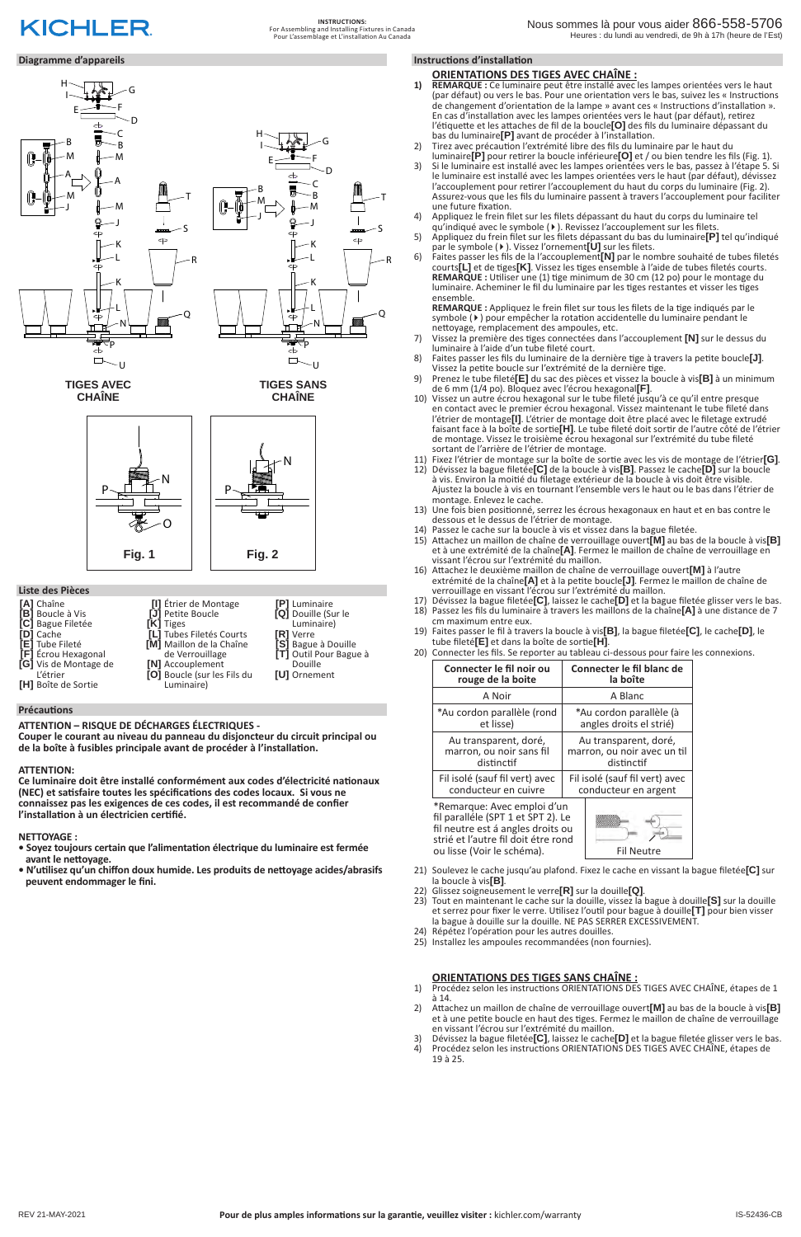**INSTRUCTIONS:** For Assembling and Installing Fixtures in Canada Pour L'assemblage et L'installation Au Canada

# **Diagramme d'appareils Instructions d'installation**

**ATTENTION – RISQUE DE DÉCHARGES ÉLECTRIQUES -** 

**Couper le courant au niveau du panneau du disjoncteur du circuit principal ou de la boîte à fusibles principale avant de procéder à l'installation.**

# **ATTENTION:**

- **1) REMARQUE :** Ce luminaire peut être installé avec les lampes orientées vers le haut (par défaut) ou vers le bas. Pour une orientation vers le bas, suivez les « Instructions de changement d'orientation de la lampe » avant ces « Instructions d'installation ». En cas d'installation avec les lampes orientées vers le haut (par défaut), retirez l'étiquette et les attaches de fil de la boucle**[O]** des fils du luminaire dépassant du bas du luminaire**[P]** avant de procéder à l'installation.
- 2) Tirez avec précaution l'extrémité libre des fils du luminaire par le haut du luminaire**[P]** pour retirer la boucle inférieure**[O]** et / ou bien tendre les fils (Fig. 1).
- 3) Si le luminaire est installé avec les lampes orientées vers le bas, passez à l'étape 5. Si le luminaire est installé avec les lampes orientées vers le haut (par défaut), dévissez l'accouplement pour retirer l'accouplement du haut du corps du luminaire (Fig. 2). Assurez-vous que les fils du luminaire passent à travers l'accouplement pour faciliter une future fixation.
- 4) Appliquez le frein filet sur les filets dépassant du haut du corps du luminaire tel qu'indiqué avec le symbole (4). Revissez l'accouplement sur les filets.
- 5) Appliquez du frein filet sur les filets dépassant du bas du luminaire**[P]** tel qu'indiqué par le symbole (4). Vissez l'ornement**[U]** sur les filets.  $5)$
- 6) Faites passer les fils de la l'accouplement**[N]** par le nombre souhaité de tubes filetés courts**[L]** et de tiges**[K]**. Vissez les tiges ensemble à l'aide de tubes filetés courts. **REMARQUE :** Utiliser une (1) tige minimum de 30 cm (12 po) pour le montage du luminaire. Acheminer le fil du luminaire par les tiges restantes et visser les tiges ensemble.  $6)$

**Ce luminaire doit être installé conformément aux codes d'électricité nationaux (NEC) et satisfaire toutes les spécifications des codes locaux. Si vous ne connaissez pas les exigences de ces codes, il est recommandé de confier l'installation à un électricien certifié.**

# **NETTOYAGE :**

- **Soyez toujours certain que l'alimentation électrique du luminaire est fermée avant le nettoyage.**
- **N'utilisez qu'un chiffon doux humide. Les produits de nettoyage acides/abrasifs peuvent endommager le fini.**

#### **Précautions**



#### **ORIENTATIONS DES TIGES AVEC CHAÎNE :**

- 7) Vissez la première des tiges connectées dans l'accouplement **[N]** sur le dessus du luminaire à l'aide d'un tube fileté court.
- 8) Faites passer les fils du luminaire de la dernière tige à travers la petite boucle**[J]**. Vissez la petite boucle sur l'extrémité de la dernière tige. 8)
- 9) Prenez le tube fileté**[E]** du sac des pièces et vissez la boucle à vis**[B]** à un minimum de 6 mm (1/4 po). Bloquez avec l'écrou hexagonal**[F]**.
- 10) Vissez un autre écrou hexagonal sur le tube fileté jusqu'à ce qu'il entre presque en contact avec le premier écrou hexagonal. Vissez maintenant le tube fileté dans l'étrier de montage**[I]**. L'étrier de montage doit être placé avec le filetage extrudé faisant face à la boîte de sortie**[H]**. Le tube fileté doit sortir de l'autre côté de l'étrier de montage. Vissez le troisième écrou hexagonal sur l'extrémité du tube fileté sortant de l'arrière de l'étrier de montage.
- 11) Fixez l'étrier de montage sur la boîte de sortie avec les vis de montage de l'étrier**[G]**.
- 12) Dévissez la bague filetée**[C]** de la boucle à vis**[B]**. Passez le cache**[D]** sur la boucle à vis. Environ la moitié du filetage extérieur de la boucle à vis doit être visible. Ajustez la boucle à vis en tournant l'ensemble vers le haut ou le bas dans l'étrier de montage. Enlevez le cache.
- 13) Une fois bien positionné, serrez les écrous hexagonaux en haut et en bas contre le dessous et le dessus de l'étrier de montage.
- 14) Passez le cache sur la boucle à vis et vissez dans la bague filetée.
- 15) Attachez un maillon de chaîne de verrouillage ouvert**[M]** au bas de la boucle à vis**[B]** et à une extrémité de la chaîne**[A]**. Fermez le maillon de chaîne de verrouillage en vissant l'écrou sur l'extrémité du maillon.
- 16) Attachez le deuxième maillon de chaîne de verrouillage ouvert**[M]** à l'autre extrémité de la chaîne**[A]** et à la petite boucle**[J]**. Fermez le maillon de chaîne de verrouillage en vissant l'écrou sur l'extrémité du maillon.
- 17) Dévissez la bague filetée**[C]**, laissez le cache**[D]** et la bague filetée glisser vers le bas. 18) Passez les fils du luminaire à travers les maillons de la chaîne**[A]** à une distance de 7
- cm maximum entre eux. 19) Faites passer le fil à travers la boucle à vis**[B]**, la bague filetée**[C]**, le cache**[D]**, le
- 
- tube fileté**[E]** et dans la boîte de sortie<sup>[H]</sup>.<br>20) Connecter les fils. Se reporter au tableau ci-dessous pour faire les connexions.

**REMARQUE :** Appliquez le frein filet sur tous les filets de la tige indiqués par le symbole ( $\blacktriangleright$ ) pour empêcher la rotation accidentelle du luminaire pendant le nettoyage, remplacement des ampoules, etc.



| Connecter le fil noir ou                                                                                                                                                    | Connecter le fil blanc de      |  |
|-----------------------------------------------------------------------------------------------------------------------------------------------------------------------------|--------------------------------|--|
| rouge de la boite                                                                                                                                                           | la boîte                       |  |
| A Noir                                                                                                                                                                      | A Blanc                        |  |
| *Au cordon parallèle (rond                                                                                                                                                  | *Au cordon parallèle (à        |  |
| et lisse)                                                                                                                                                                   | angles droits el strié)        |  |
| Au transparent, doré,                                                                                                                                                       | Au transparent, doré,          |  |
| marron, ou noir sans fil                                                                                                                                                    | marron, ou noir avec un til    |  |
| distinctif                                                                                                                                                                  | distinctif                     |  |
| Fil isolé (sauf fil vert) avec                                                                                                                                              | Fil isolé (sauf fil vert) avec |  |
| conducteur en cuivre                                                                                                                                                        | conducteur en argent           |  |
| *Remarque: Avec emploi d'un<br>fil paralléle (SPT 1 et SPT 2). Le<br>fil neutre est á angles droits ou<br>strié et l'autre fil doit étre rond<br>ou lisse (Voir le schéma). | <b>Fil Neutre</b>              |  |

- 21) Soulevez le cache jusqu'au plafond. Fixez le cache en vissant la bague filetée**[C]** sur la boucle à vis**[B]**.
- 22) Glissez soigneusement le verre**[R]** sur la douille**[Q]**.
- 23) Tout en maintenant le cache sur la douille, vissez la bague à douille**[S]** sur la douille
- et serrez pour fixer le verre. Utilisez l'outil pour bague à douille**[T]** pour bien visser la bague à douille sur la douille. NE PAS SERRER EXCESSIVEMENT.
- 24) Répétez l'opération pour les autres douilles.
- 25) Installez les ampoules recommandées (non fournies).

# **ORIENTATIONS DES TIGES SANS CHAÎNE :**

- 1) Procédez selon les instructions ORIENTATIONS DES TIGES AVEC CHAÎNE, étapes de 1 à 14.
- 2) Attachez un maillon de chaîne de verrouillage ouvert**[M]** au bas de la boucle à vis**[B]** et à une petite boucle en haut des tiges. Fermez le maillon de chaîne de verrouillage en vissant l'écrou sur l'extrémité du maillon.
- 3) Dévissez la bague filetée**[C]**, laissez le cache**[D]** et la bague filetée glisser vers le bas.
- 4) Procédez selon les instructions ORIENTATIONS DES TIGES AVEC CHAÎNE, étapes de 19 à 25.

**Fig. 1 Fig. 2**